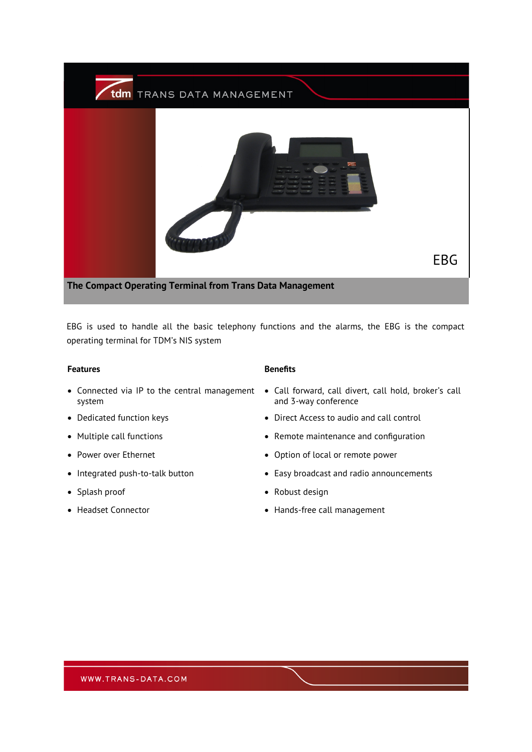

EBG is used to handle all the basic telephony functions and the alarms, the EBG is the compact operating terminal for TDM's NIS system

## **Features Benefits**

- system
- 
- 
- 
- 
- 
- 

- Connected via IP to the central management Call forward, call divert, call hold, broker's call and 3-way conference
- Dedicated function keys **•** Direct Access to audio and call control
- Multiple call functions **•** Remote maintenance and configuration
- Power over Ethernet Option of local or remote power
- Integrated push-to-talk button Easy broadcast and radio announcements
- Splash proof Robust design
- Headset Connector  **Hands-free call management**